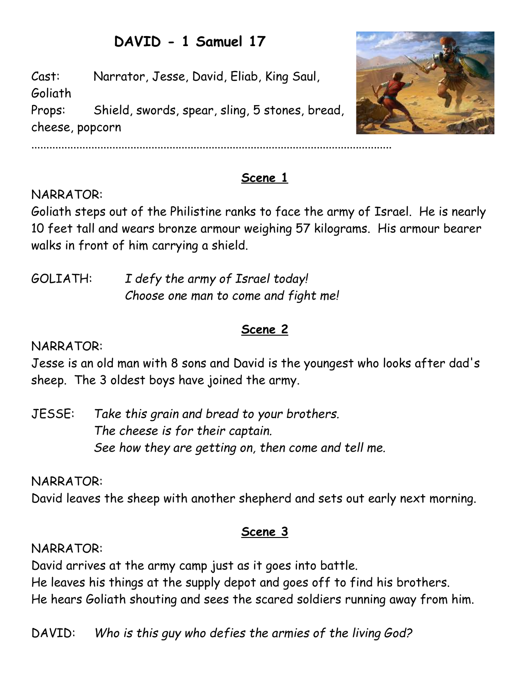# **DAVID - 1 Samuel 17**

Cast: Narrator, Jesse, David, Eliab, King Saul, Goliath Props: Shield, swords, spear, sling, 5 stones, bread, cheese, popcorn



## **Scene 1**

## NARRATOR:

Goliath steps out of the Philistine ranks to face the army of Israel. He is nearly 10 feet tall and wears bronze armour weighing 57 kilograms. His armour bearer walks in front of him carrying a shield.

GOLIATH: *I defy the army of Israel today! Choose one man to come and fight me!*

## **Scene 2**

#### NARRATOR:

Jesse is an old man with 8 sons and David is the youngest who looks after dad's sheep. The 3 oldest boys have joined the army.

JESSE: *Take this grain and bread to your brothers. The cheese is for their captain. See how they are getting on, then come and tell me.*

NARRATOR:

David leaves the sheep with another shepherd and sets out early next morning.

#### **Scene 3**

#### NARRATOR:

David arrives at the army camp just as it goes into battle. He leaves his things at the supply depot and goes off to find his brothers. He hears Goliath shouting and sees the scared soldiers running away from him.

DAVID: *Who is this guy who defies the armies of the living God?*